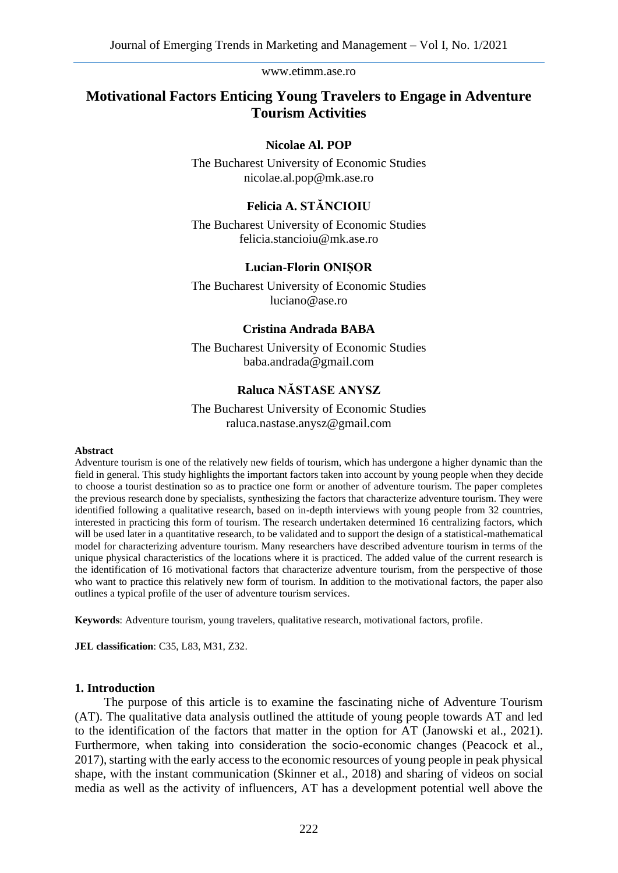# **Motivational Factors Enticing Young Travelers to Engage in Adventure Tourism Activities**

### **Nicolae Al. POP**

The Bucharest University of Economic Studies nicolae.al.pop@mk.ase.ro

# **Felicia A. STĂNCIOIU**

The Bucharest University of Economic Studies felicia.stancioiu@mk.ase.ro

### **Lucian-Florin ONIȘOR**

The Bucharest University of Economic Studies luciano@ase.ro

#### **Cristina Andrada BABA**

The Bucharest University of Economic Studies baba.andrada@gmail.com

### **Raluca NĂSTASE ANYSZ**

The Bucharest University of Economic Studies raluca.nastase.anysz@gmail.com

#### **Abstract**

Adventure tourism is one of the relatively new fields of tourism, which has undergone a higher dynamic than the field in general. This study highlights the important factors taken into account by young people when they decide to choose a tourist destination so as to practice one form or another of adventure tourism. The paper completes the previous research done by specialists, synthesizing the factors that characterize adventure tourism. They were identified following a qualitative research, based on in-depth interviews with young people from 32 countries, interested in practicing this form of tourism. The research undertaken determined 16 centralizing factors, which will be used later in a quantitative research, to be validated and to support the design of a statistical-mathematical model for characterizing adventure tourism. Many researchers have described adventure tourism in terms of the unique physical characteristics of the locations where it is practiced. The added value of the current research is the identification of 16 motivational factors that characterize adventure tourism, from the perspective of those who want to practice this relatively new form of tourism. In addition to the motivational factors, the paper also outlines a typical profile of the user of adventure tourism services.

**Keywords**: Adventure tourism, young travelers, qualitative research, motivational factors, profile.

**JEL classification**: C35, L83, M31, Z32.

## **1. Introduction**

The purpose of this article is to examine the fascinating niche of Adventure Tourism (AT). The qualitative data analysis outlined the attitude of young people towards AT and led to the identification of the factors that matter in the option for AT (Janowski et al., 2021). Furthermore, when taking into consideration the socio-economic changes (Peacock et al., 2017), starting with the early access to the economic resources of young people in peak physical shape, with the instant communication (Skinner et al., 2018) and sharing of videos on social media as well as the activity of influencers, AT has a development potential well above the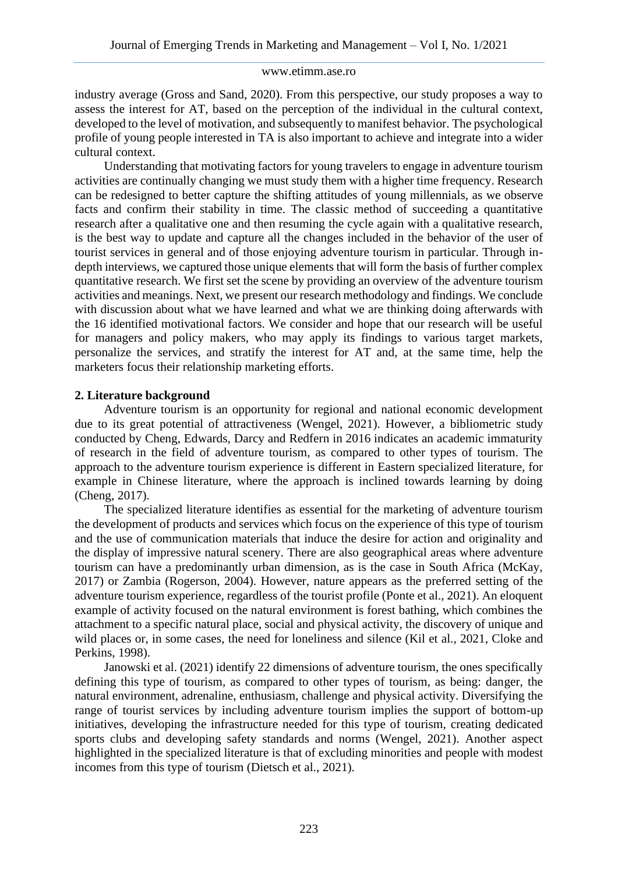industry average (Gross and Sand, 2020). From this perspective, our study proposes a way to assess the interest for AT, based on the perception of the individual in the cultural context, developed to the level of motivation, and subsequently to manifest behavior. The psychological profile of young people interested in TA is also important to achieve and integrate into a wider cultural context.

Understanding that motivating factors for young travelers to engage in adventure tourism activities are continually changing we must study them with a higher time frequency. Research can be redesigned to better capture the shifting attitudes of young millennials, as we observe facts and confirm their stability in time. The classic method of succeeding a quantitative research after a qualitative one and then resuming the cycle again with a qualitative research, is the best way to update and capture all the changes included in the behavior of the user of tourist services in general and of those enjoying adventure tourism in particular. Through indepth interviews, we captured those unique elements that will form the basis of further complex quantitative research. We first set the scene by providing an overview of the adventure tourism activities and meanings. Next, we present our research methodology and findings. We conclude with discussion about what we have learned and what we are thinking doing afterwards with the 16 identified motivational factors. We consider and hope that our research will be useful for managers and policy makers, who may apply its findings to various target markets, personalize the services, and stratify the interest for AT and, at the same time, help the marketers focus their relationship marketing efforts.

### **2. Literature background**

Adventure tourism is an opportunity for regional and national economic development due to its great potential of attractiveness (Wengel, 2021). However, a bibliometric study conducted by Cheng, Edwards, Darcy and Redfern in 2016 indicates an academic immaturity of research in the field of adventure tourism, as compared to other types of tourism. The approach to the adventure tourism experience is different in Eastern specialized literature, for example in Chinese literature, where the approach is inclined towards learning by doing (Cheng, 2017).

The specialized literature identifies as essential for the marketing of adventure tourism the development of products and services which focus on the experience of this type of tourism and the use of communication materials that induce the desire for action and originality and the display of impressive natural scenery. There are also geographical areas where adventure tourism can have a predominantly urban dimension, as is the case in South Africa (McKay, 2017) or Zambia (Rogerson, 2004). However, nature appears as the preferred setting of the adventure tourism experience, regardless of the tourist profile (Ponte et al., 2021). An eloquent example of activity focused on the natural environment is forest bathing, which combines the attachment to a specific natural place, social and physical activity, the discovery of unique and wild places or, in some cases, the need for loneliness and silence (Kil et al., 2021, Cloke and Perkins, 1998).

Janowski et al. (2021) identify 22 dimensions of adventure tourism, the ones specifically defining this type of tourism, as compared to other types of tourism, as being: danger, the natural environment, adrenaline, enthusiasm, challenge and physical activity. Diversifying the range of tourist services by including adventure tourism implies the support of bottom-up initiatives, developing the infrastructure needed for this type of tourism, creating dedicated sports clubs and developing safety standards and norms (Wengel, 2021). Another aspect highlighted in the specialized literature is that of excluding minorities and people with modest incomes from this type of tourism (Dietsch et al., 2021).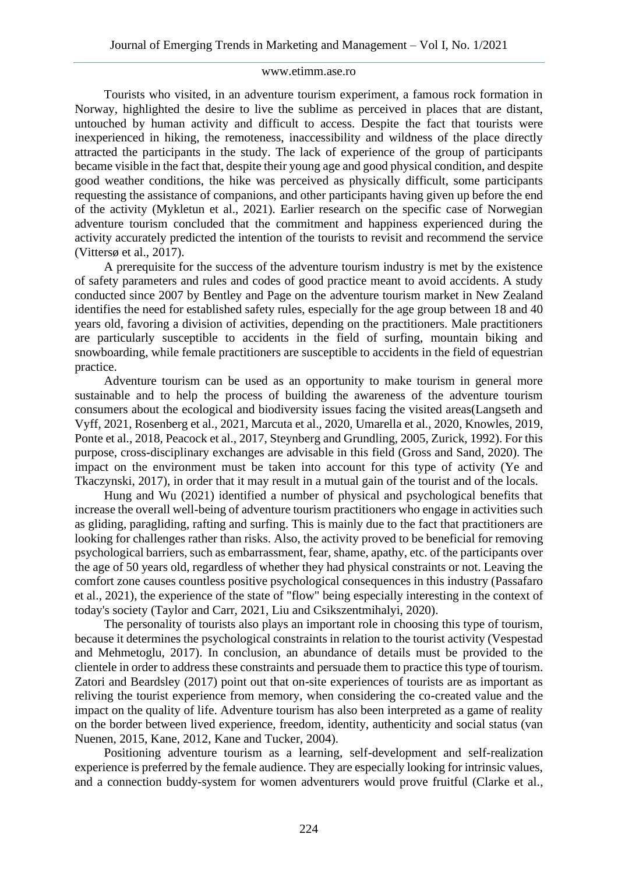Tourists who visited, in an adventure tourism experiment, a famous rock formation in Norway, highlighted the desire to live the sublime as perceived in places that are distant, untouched by human activity and difficult to access. Despite the fact that tourists were inexperienced in hiking, the remoteness, inaccessibility and wildness of the place directly attracted the participants in the study. The lack of experience of the group of participants became visible in the fact that, despite their young age and good physical condition, and despite good weather conditions, the hike was perceived as physically difficult, some participants requesting the assistance of companions, and other participants having given up before the end of the activity (Mykletun et al., 2021). Earlier research on the specific case of Norwegian adventure tourism concluded that the commitment and happiness experienced during the activity accurately predicted the intention of the tourists to revisit and recommend the service (Vittersø et al., 2017).

A prerequisite for the success of the adventure tourism industry is met by the existence of safety parameters and rules and codes of good practice meant to avoid accidents. A study conducted since 2007 by Bentley and Page on the adventure tourism market in New Zealand identifies the need for established safety rules, especially for the age group between 18 and 40 years old, favoring a division of activities, depending on the practitioners. Male practitioners are particularly susceptible to accidents in the field of surfing, mountain biking and snowboarding, while female practitioners are susceptible to accidents in the field of equestrian practice.

Adventure tourism can be used as an opportunity to make tourism in general more sustainable and to help the process of building the awareness of the adventure tourism consumers about the ecological and biodiversity issues facing the visited areas(Langseth and Vyff, 2021, Rosenberg et al., 2021, Marcuta et al., 2020, Umarella et al., 2020, Knowles, 2019, Ponte et al., 2018, Peacock et al., 2017, Steynberg and Grundling, 2005, Zurick, 1992). For this purpose, cross-disciplinary exchanges are advisable in this field (Gross and Sand, 2020). The impact on the environment must be taken into account for this type of activity (Ye and Tkaczynski, 2017), in order that it may result in a mutual gain of the tourist and of the locals.

Hung and Wu (2021) identified a number of physical and psychological benefits that increase the overall well-being of adventure tourism practitioners who engage in activities such as gliding, paragliding, rafting and surfing. This is mainly due to the fact that practitioners are looking for challenges rather than risks. Also, the activity proved to be beneficial for removing psychological barriers, such as embarrassment, fear, shame, apathy, etc. of the participants over the age of 50 years old, regardless of whether they had physical constraints or not. Leaving the comfort zone causes countless positive psychological consequences in this industry (Passafaro et al., 2021), the experience of the state of "flow" being especially interesting in the context of today's society (Taylor and Carr, 2021, Liu and Csikszentmihalyi, 2020).

The personality of tourists also plays an important role in choosing this type of tourism, because it determines the psychological constraints in relation to the tourist activity (Vespestad and Mehmetoglu, 2017). In conclusion, an abundance of details must be provided to the clientele in order to address these constraints and persuade them to practice this type of tourism. Zatori and Beardsley (2017) point out that on-site experiences of tourists are as important as reliving the tourist experience from memory, when considering the co-created value and the impact on the quality of life. Adventure tourism has also been interpreted as a game of reality on the border between lived experience, freedom, identity, authenticity and social status (van Nuenen, 2015, Kane, 2012, Kane and Tucker, 2004).

Positioning adventure tourism as a learning, self-development and self-realization experience is preferred by the female audience. They are especially looking for intrinsic values, and a connection buddy-system for women adventurers would prove fruitful (Clarke et al.,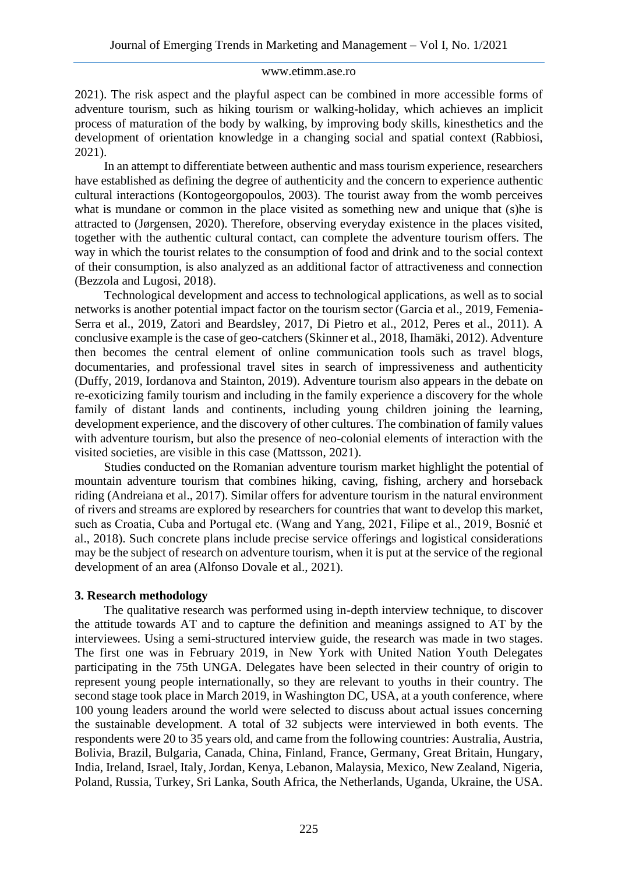2021). The risk aspect and the playful aspect can be combined in more accessible forms of adventure tourism, such as hiking tourism or walking-holiday, which achieves an implicit process of maturation of the body by walking, by improving body skills, kinesthetics and the development of orientation knowledge in a changing social and spatial context (Rabbiosi, 2021).

In an attempt to differentiate between authentic and mass tourism experience, researchers have established as defining the degree of authenticity and the concern to experience authentic cultural interactions (Kontogeorgopoulos, 2003). The tourist away from the womb perceives what is mundane or common in the place visited as something new and unique that (s) he is attracted to (Jørgensen, 2020). Therefore, observing everyday existence in the places visited, together with the authentic cultural contact, can complete the adventure tourism offers. The way in which the tourist relates to the consumption of food and drink and to the social context of their consumption, is also analyzed as an additional factor of attractiveness and connection (Bezzola and Lugosi, 2018).

Technological development and access to technological applications, as well as to social networks is another potential impact factor on the tourism sector (Garcia et al., 2019, Femenia-Serra et al., 2019, Zatori and Beardsley, 2017, Di Pietro et al., 2012, Peres et al., 2011). A conclusive example is the case of geo-catchers (Skinner et al., 2018, Ihamäki, 2012). Adventure then becomes the central element of online communication tools such as travel blogs, documentaries, and professional travel sites in search of impressiveness and authenticity (Duffy, 2019, Iordanova and Stainton, 2019). Adventure tourism also appears in the debate on re-exoticizing family tourism and including in the family experience a discovery for the whole family of distant lands and continents, including young children joining the learning, development experience, and the discovery of other cultures. The combination of family values with adventure tourism, but also the presence of neo-colonial elements of interaction with the visited societies, are visible in this case (Mattsson, 2021).

Studies conducted on the Romanian adventure tourism market highlight the potential of mountain adventure tourism that combines hiking, caving, fishing, archery and horseback riding (Andreiana et al., 2017). Similar offers for adventure tourism in the natural environment of rivers and streams are explored by researchers for countries that want to develop this market, such as Croatia, Cuba and Portugal etc. (Wang and Yang, 2021, Filipe et al., 2019, Bosnić et al., 2018). Such concrete plans include precise service offerings and logistical considerations may be the subject of research on adventure tourism, when it is put at the service of the regional development of an area (Alfonso Dovale et al., 2021).

### **3. Research methodology**

The qualitative research was performed using in-depth interview technique, to discover the attitude towards AT and to capture the definition and meanings assigned to AT by the interviewees. Using a semi-structured interview guide, the research was made in two stages. The first one was in February 2019, in New York with United Nation Youth Delegates participating in the 75th UNGA. Delegates have been selected in their country of origin to represent young people internationally, so they are relevant to youths in their country. The second stage took place in March 2019, in Washington DC, USA, at a youth conference, where 100 young leaders around the world were selected to discuss about actual issues concerning the sustainable development. A total of 32 subjects were interviewed in both events. The respondents were 20 to 35 years old, and came from the following countries: Australia, Austria, Bolivia, Brazil, Bulgaria, Canada, China, Finland, France, Germany, Great Britain, Hungary, India, Ireland, Israel, Italy, Jordan, Kenya, Lebanon, Malaysia, Mexico, New Zealand, Nigeria, Poland, Russia, Turkey, Sri Lanka, South Africa, the Netherlands, Uganda, Ukraine, the USA.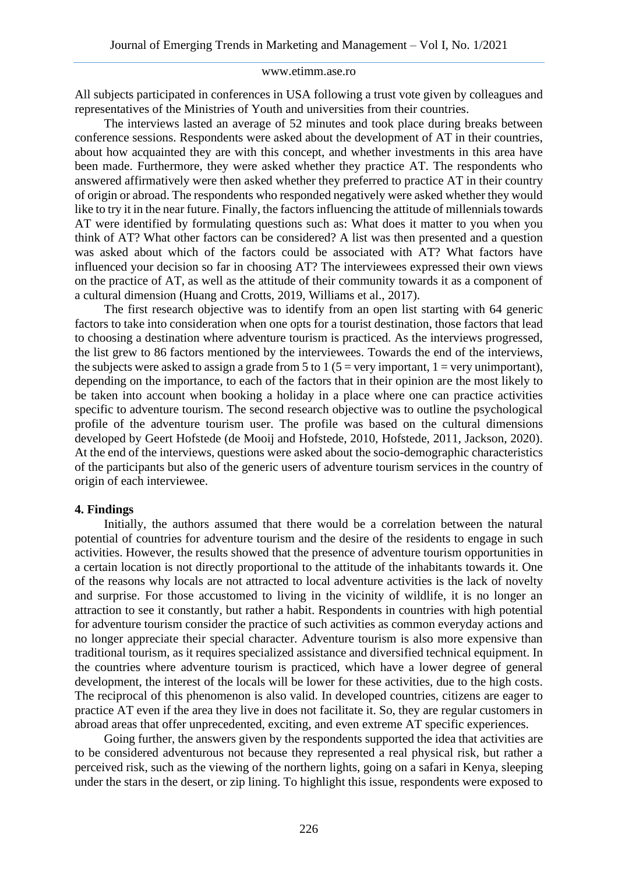All subjects participated in conferences in USA following a trust vote given by colleagues and representatives of the Ministries of Youth and universities from their countries.

The interviews lasted an average of 52 minutes and took place during breaks between conference sessions. Respondents were asked about the development of AT in their countries, about how acquainted they are with this concept, and whether investments in this area have been made. Furthermore, they were asked whether they practice AT. The respondents who answered affirmatively were then asked whether they preferred to practice AT in their country of origin or abroad. The respondents who responded negatively were asked whether they would like to try it in the near future. Finally, the factors influencing the attitude of millennials towards AT were identified by formulating questions such as: What does it matter to you when you think of AT? What other factors can be considered? A list was then presented and a question was asked about which of the factors could be associated with AT? What factors have influenced your decision so far in choosing AT? The interviewees expressed their own views on the practice of AT, as well as the attitude of their community towards it as a component of a cultural dimension (Huang and Crotts, 2019, Williams et al., 2017).

The first research objective was to identify from an open list starting with 64 generic factors to take into consideration when one opts for a tourist destination, those factors that lead to choosing a destination where adventure tourism is practiced. As the interviews progressed, the list grew to 86 factors mentioned by the interviewees. Towards the end of the interviews, the subjects were asked to assign a grade from 5 to 1 (5 = very important,  $1 = \text{very unimportant}$ ), depending on the importance, to each of the factors that in their opinion are the most likely to be taken into account when booking a holiday in a place where one can practice activities specific to adventure tourism. The second research objective was to outline the psychological profile of the adventure tourism user. The profile was based on the cultural dimensions developed by Geert Hofstede (de Mooij and Hofstede, 2010, Hofstede, 2011, Jackson, 2020). At the end of the interviews, questions were asked about the socio-demographic characteristics of the participants but also of the generic users of adventure tourism services in the country of origin of each interviewee.

#### **4. Findings**

Initially, the authors assumed that there would be a correlation between the natural potential of countries for adventure tourism and the desire of the residents to engage in such activities. However, the results showed that the presence of adventure tourism opportunities in a certain location is not directly proportional to the attitude of the inhabitants towards it. One of the reasons why locals are not attracted to local adventure activities is the lack of novelty and surprise. For those accustomed to living in the vicinity of wildlife, it is no longer an attraction to see it constantly, but rather a habit. Respondents in countries with high potential for adventure tourism consider the practice of such activities as common everyday actions and no longer appreciate their special character. Adventure tourism is also more expensive than traditional tourism, as it requires specialized assistance and diversified technical equipment. In the countries where adventure tourism is practiced, which have a lower degree of general development, the interest of the locals will be lower for these activities, due to the high costs. The reciprocal of this phenomenon is also valid. In developed countries, citizens are eager to practice AT even if the area they live in does not facilitate it. So, they are regular customers in abroad areas that offer unprecedented, exciting, and even extreme AT specific experiences.

Going further, the answers given by the respondents supported the idea that activities are to be considered adventurous not because they represented a real physical risk, but rather a perceived risk, such as the viewing of the northern lights, going on a safari in Kenya, sleeping under the stars in the desert, or zip lining. To highlight this issue, respondents were exposed to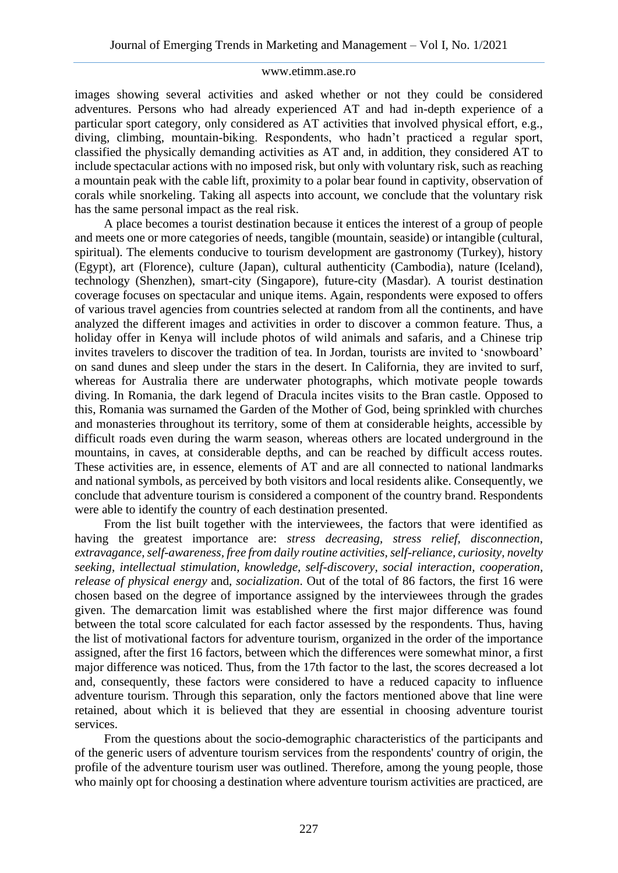images showing several activities and asked whether or not they could be considered adventures. Persons who had already experienced AT and had in-depth experience of a particular sport category, only considered as AT activities that involved physical effort, e.g., diving, climbing, mountain-biking. Respondents, who hadn't practiced a regular sport, classified the physically demanding activities as AT and, in addition, they considered AT to include spectacular actions with no imposed risk, but only with voluntary risk, such as reaching a mountain peak with the cable lift, proximity to a polar bear found in captivity, observation of corals while snorkeling. Taking all aspects into account, we conclude that the voluntary risk has the same personal impact as the real risk.

A place becomes a tourist destination because it entices the interest of a group of people and meets one or more categories of needs, tangible (mountain, seaside) or intangible (cultural, spiritual). The elements conducive to tourism development are gastronomy (Turkey), history (Egypt), art (Florence), culture (Japan), cultural authenticity (Cambodia), nature (Iceland), technology (Shenzhen), smart-city (Singapore), future-city (Masdar). A tourist destination coverage focuses on spectacular and unique items. Again, respondents were exposed to offers of various travel agencies from countries selected at random from all the continents, and have analyzed the different images and activities in order to discover a common feature. Thus, a holiday offer in Kenya will include photos of wild animals and safaris, and a Chinese trip invites travelers to discover the tradition of tea. In Jordan, tourists are invited to 'snowboard' on sand dunes and sleep under the stars in the desert. In California, they are invited to surf, whereas for Australia there are underwater photographs, which motivate people towards diving. In Romania, the dark legend of Dracula incites visits to the Bran castle. Opposed to this, Romania was surnamed the Garden of the Mother of God, being sprinkled with churches and monasteries throughout its territory, some of them at considerable heights, accessible by difficult roads even during the warm season, whereas others are located underground in the mountains, in caves, at considerable depths, and can be reached by difficult access routes. These activities are, in essence, elements of AT and are all connected to national landmarks and national symbols, as perceived by both visitors and local residents alike. Consequently, we conclude that adventure tourism is considered a component of the country brand. Respondents were able to identify the country of each destination presented.

From the list built together with the interviewees, the factors that were identified as having the greatest importance are: *stress decreasing, stress relief, disconnection, extravagance, self-awareness, free from daily routine activities, self-reliance, curiosity, novelty seeking, intellectual stimulation, knowledge, self-discovery, social interaction, cooperation, release of physical energy* and, *socialization*. Out of the total of 86 factors, the first 16 were chosen based on the degree of importance assigned by the interviewees through the grades given. The demarcation limit was established where the first major difference was found between the total score calculated for each factor assessed by the respondents. Thus, having the list of motivational factors for adventure tourism, organized in the order of the importance assigned, after the first 16 factors, between which the differences were somewhat minor, a first major difference was noticed. Thus, from the 17th factor to the last, the scores decreased a lot and, consequently, these factors were considered to have a reduced capacity to influence adventure tourism. Through this separation, only the factors mentioned above that line were retained, about which it is believed that they are essential in choosing adventure tourist services.

From the questions about the socio-demographic characteristics of the participants and of the generic users of adventure tourism services from the respondents' country of origin, the profile of the adventure tourism user was outlined. Therefore, among the young people, those who mainly opt for choosing a destination where adventure tourism activities are practiced, are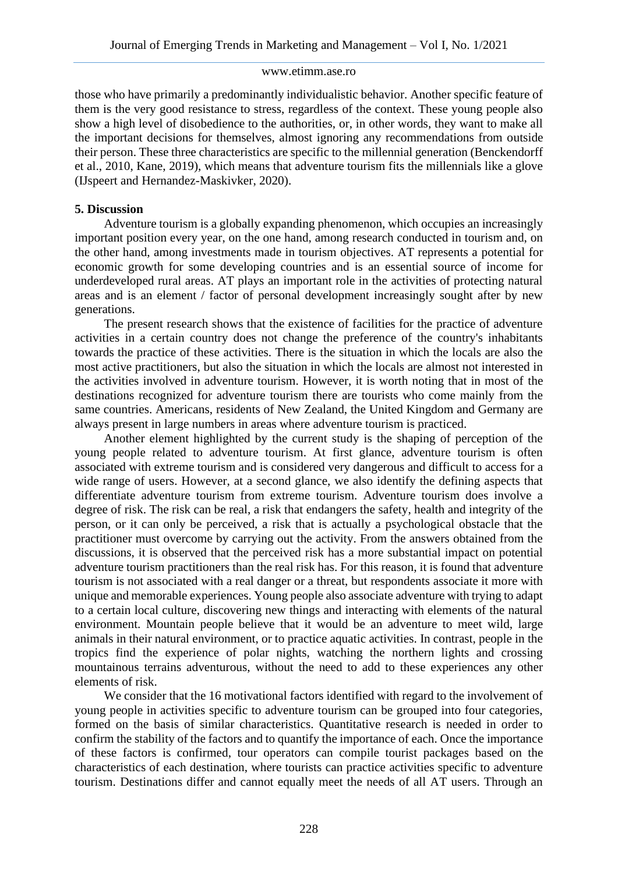those who have primarily a predominantly individualistic behavior. Another specific feature of them is the very good resistance to stress, regardless of the context. These young people also show a high level of disobedience to the authorities, or, in other words, they want to make all the important decisions for themselves, almost ignoring any recommendations from outside their person. These three characteristics are specific to the millennial generation (Benckendorff et al., 2010, Kane, 2019), which means that adventure tourism fits the millennials like a glove (IJspeert and Hernandez-Maskivker, 2020).

### **5. Discussion**

Adventure tourism is a globally expanding phenomenon, which occupies an increasingly important position every year, on the one hand, among research conducted in tourism and, on the other hand, among investments made in tourism objectives. AT represents a potential for economic growth for some developing countries and is an essential source of income for underdeveloped rural areas. AT plays an important role in the activities of protecting natural areas and is an element / factor of personal development increasingly sought after by new generations.

The present research shows that the existence of facilities for the practice of adventure activities in a certain country does not change the preference of the country's inhabitants towards the practice of these activities. There is the situation in which the locals are also the most active practitioners, but also the situation in which the locals are almost not interested in the activities involved in adventure tourism. However, it is worth noting that in most of the destinations recognized for adventure tourism there are tourists who come mainly from the same countries. Americans, residents of New Zealand, the United Kingdom and Germany are always present in large numbers in areas where adventure tourism is practiced.

Another element highlighted by the current study is the shaping of perception of the young people related to adventure tourism. At first glance, adventure tourism is often associated with extreme tourism and is considered very dangerous and difficult to access for a wide range of users. However, at a second glance, we also identify the defining aspects that differentiate adventure tourism from extreme tourism. Adventure tourism does involve a degree of risk. The risk can be real, a risk that endangers the safety, health and integrity of the person, or it can only be perceived, a risk that is actually a psychological obstacle that the practitioner must overcome by carrying out the activity. From the answers obtained from the discussions, it is observed that the perceived risk has a more substantial impact on potential adventure tourism practitioners than the real risk has. For this reason, it is found that adventure tourism is not associated with a real danger or a threat, but respondents associate it more with unique and memorable experiences. Young people also associate adventure with trying to adapt to a certain local culture, discovering new things and interacting with elements of the natural environment. Mountain people believe that it would be an adventure to meet wild, large animals in their natural environment, or to practice aquatic activities. In contrast, people in the tropics find the experience of polar nights, watching the northern lights and crossing mountainous terrains adventurous, without the need to add to these experiences any other elements of risk.

We consider that the 16 motivational factors identified with regard to the involvement of young people in activities specific to adventure tourism can be grouped into four categories, formed on the basis of similar characteristics. Quantitative research is needed in order to confirm the stability of the factors and to quantify the importance of each. Once the importance of these factors is confirmed, tour operators can compile tourist packages based on the characteristics of each destination, where tourists can practice activities specific to adventure tourism. Destinations differ and cannot equally meet the needs of all AT users. Through an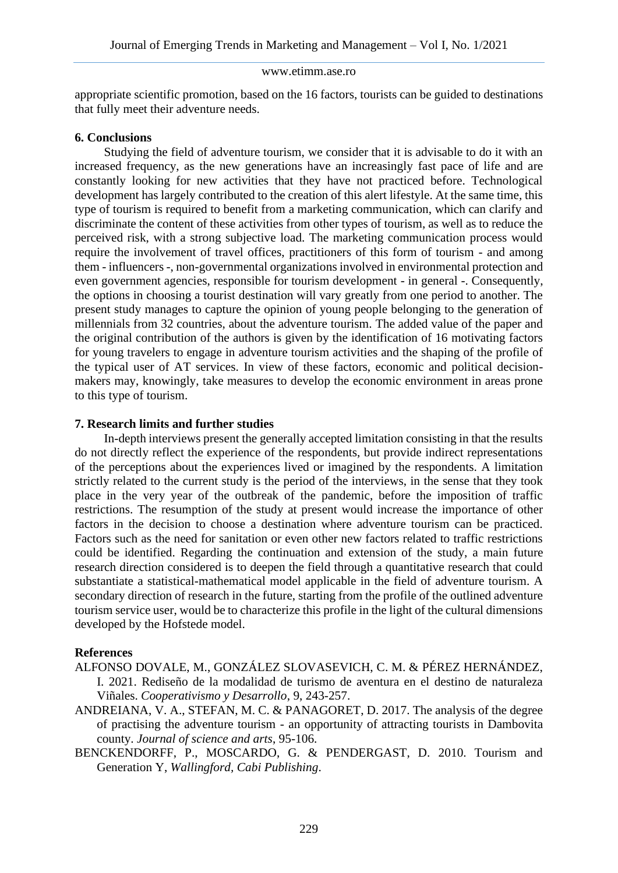appropriate scientific promotion, based on the 16 factors, tourists can be guided to destinations that fully meet their adventure needs.

### **6. Conclusions**

Studying the field of adventure tourism, we consider that it is advisable to do it with an increased frequency, as the new generations have an increasingly fast pace of life and are constantly looking for new activities that they have not practiced before. Technological development has largely contributed to the creation of this alert lifestyle. At the same time, this type of tourism is required to benefit from a marketing communication, which can clarify and discriminate the content of these activities from other types of tourism, as well as to reduce the perceived risk, with a strong subjective load. The marketing communication process would require the involvement of travel offices, practitioners of this form of tourism - and among them - influencers -, non-governmental organizations involved in environmental protection and even government agencies, responsible for tourism development - in general -. Consequently, the options in choosing a tourist destination will vary greatly from one period to another. The present study manages to capture the opinion of young people belonging to the generation of millennials from 32 countries, about the adventure tourism. The added value of the paper and the original contribution of the authors is given by the identification of 16 motivating factors for young travelers to engage in adventure tourism activities and the shaping of the profile of the typical user of AT services. In view of these factors, economic and political decisionmakers may, knowingly, take measures to develop the economic environment in areas prone to this type of tourism.

### **7. Research limits and further studies**

In-depth interviews present the generally accepted limitation consisting in that the results do not directly reflect the experience of the respondents, but provide indirect representations of the perceptions about the experiences lived or imagined by the respondents. A limitation strictly related to the current study is the period of the interviews, in the sense that they took place in the very year of the outbreak of the pandemic, before the imposition of traffic restrictions. The resumption of the study at present would increase the importance of other factors in the decision to choose a destination where adventure tourism can be practiced. Factors such as the need for sanitation or even other new factors related to traffic restrictions could be identified. Regarding the continuation and extension of the study, a main future research direction considered is to deepen the field through a quantitative research that could substantiate a statistical-mathematical model applicable in the field of adventure tourism. A secondary direction of research in the future, starting from the profile of the outlined adventure tourism service user, would be to characterize this profile in the light of the cultural dimensions developed by the Hofstede model.

# **References**

- ALFONSO DOVALE, M., GONZÁLEZ SLOVASEVICH, C. M. & PÉREZ HERNÁNDEZ, I. 2021. Rediseño de la modalidad de turismo de aventura en el destino de naturaleza Viñales. *Cooperativismo y Desarrollo*, 9, 243-257.
- ANDREIANA, V. A., STEFAN, M. C. & PANAGORET, D. 2017. The analysis of the degree of practising the adventure tourism - an opportunity of attracting tourists in Dambovita county. *Journal of science and arts*, 95-106.
- BENCKENDORFF, P., MOSCARDO, G. & PENDERGAST, D. 2010. Tourism and Generation Y, *Wallingford, Cabi Publishing*.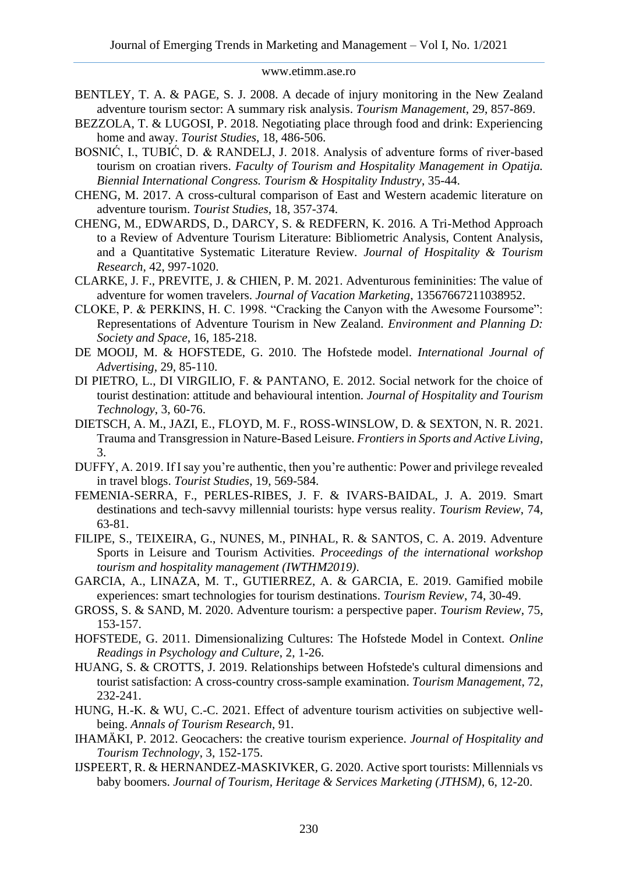- BENTLEY, T. A. & PAGE, S. J. 2008. A decade of injury monitoring in the New Zealand adventure tourism sector: A summary risk analysis. *Tourism Management*, 29, 857-869.
- BEZZOLA, T. & LUGOSI, P. 2018. Negotiating place through food and drink: Experiencing home and away. *Tourist Studies*, 18, 486-506.
- BOSNIĆ, I., TUBIĆ, D. & RANDELJ, J. 2018. Analysis of adventure forms of river-based tourism on croatian rivers. *Faculty of Tourism and Hospitality Management in Opatija. Biennial International Congress. Tourism & Hospitality Industry*, 35-44.
- CHENG, M. 2017. A cross-cultural comparison of East and Western academic literature on adventure tourism. *Tourist Studies*, 18, 357-374.
- CHENG, M., EDWARDS, D., DARCY, S. & REDFERN, K. 2016. A Tri-Method Approach to a Review of Adventure Tourism Literature: Bibliometric Analysis, Content Analysis, and a Quantitative Systematic Literature Review. *Journal of Hospitality & Tourism Research*, 42, 997-1020.
- CLARKE, J. F., PREVITE, J. & CHIEN, P. M. 2021. Adventurous femininities: The value of adventure for women travelers. *Journal of Vacation Marketing*, 13567667211038952.
- CLOKE, P. & PERKINS, H. C. 1998. "Cracking the Canyon with the Awesome Foursome": Representations of Adventure Tourism in New Zealand. *Environment and Planning D: Society and Space*, 16, 185-218.
- DE MOOIJ, M. & HOFSTEDE, G. 2010. The Hofstede model. *International Journal of Advertising*, 29, 85-110.
- DI PIETRO, L., DI VIRGILIO, F. & PANTANO, E. 2012. Social network for the choice of tourist destination: attitude and behavioural intention. *Journal of Hospitality and Tourism Technology*, 3, 60-76.
- DIETSCH, A. M., JAZI, E., FLOYD, M. F., ROSS-WINSLOW, D. & SEXTON, N. R. 2021. Trauma and Transgression in Nature-Based Leisure. *Frontiers in Sports and Active Living*, 3.
- DUFFY, A. 2019. If I say you're authentic, then you're authentic: Power and privilege revealed in travel blogs. *Tourist Studies*, 19, 569-584.
- FEMENIA-SERRA, F., PERLES-RIBES, J. F. & IVARS-BAIDAL, J. A. 2019. Smart destinations and tech-savvy millennial tourists: hype versus reality. *Tourism Review*, 74, 63-81.
- FILIPE, S., TEIXEIRA, G., NUNES, M., PINHAL, R. & SANTOS, C. A. 2019. Adventure Sports in Leisure and Tourism Activities. *Proceedings of the international workshop tourism and hospitality management (IWTHM2019)*.
- GARCIA, A., LINAZA, M. T., GUTIERREZ, A. & GARCIA, E. 2019. Gamified mobile experiences: smart technologies for tourism destinations. *Tourism Review*, 74, 30-49.
- GROSS, S. & SAND, M. 2020. Adventure tourism: a perspective paper. *Tourism Review*, 75, 153-157.
- HOFSTEDE, G. 2011. Dimensionalizing Cultures: The Hofstede Model in Context. *Online Readings in Psychology and Culture*, 2, 1-26.
- HUANG, S. & CROTTS, J. 2019. Relationships between Hofstede's cultural dimensions and tourist satisfaction: A cross-country cross-sample examination. *Tourism Management*, 72, 232-241.
- HUNG, H.-K. & WU, C.-C. 2021. Effect of adventure tourism activities on subjective wellbeing. *Annals of Tourism Research*, 91.
- IHAMÄKI, P. 2012. Geocachers: the creative tourism experience. *Journal of Hospitality and Tourism Technology*, 3, 152-175.
- IJSPEERT, R. & HERNANDEZ-MASKIVKER, G. 2020. Active sport tourists: Millennials vs baby boomers. *Journal of Tourism, Heritage & Services Marketing (JTHSM)*, 6, 12-20.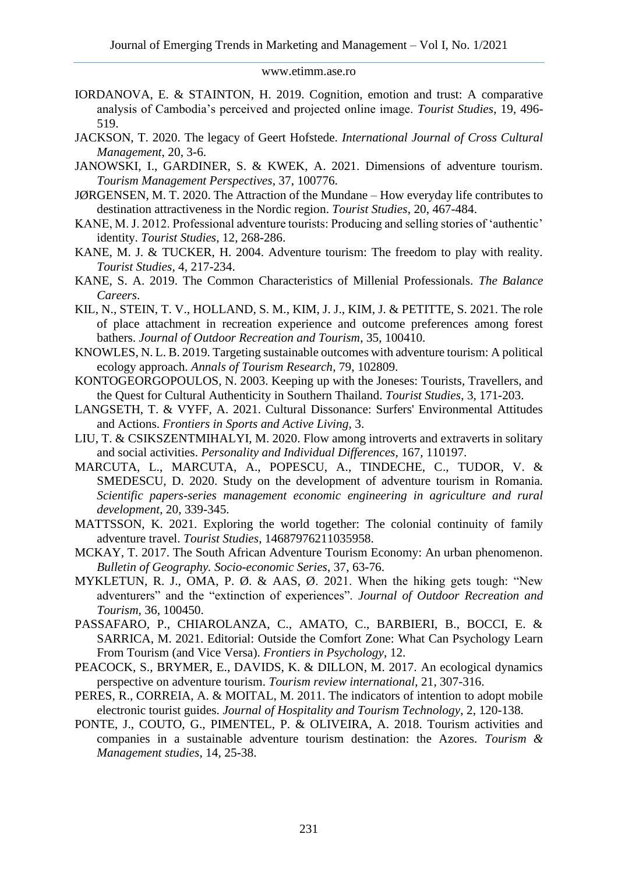- IORDANOVA, E. & STAINTON, H. 2019. Cognition, emotion and trust: A comparative analysis of Cambodia's perceived and projected online image. *Tourist Studies*, 19, 496- 519.
- JACKSON, T. 2020. The legacy of Geert Hofstede. *International Journal of Cross Cultural Management*, 20, 3-6.
- JANOWSKI, I., GARDINER, S. & KWEK, A. 2021. Dimensions of adventure tourism. *Tourism Management Perspectives*, 37, 100776.
- JØRGENSEN, M. T. 2020. The Attraction of the Mundane How everyday life contributes to destination attractiveness in the Nordic region. *Tourist Studies*, 20, 467-484.
- KANE, M. J. 2012. Professional adventure tourists: Producing and selling stories of 'authentic' identity. *Tourist Studies*, 12, 268-286.
- KANE, M. J. & TUCKER, H. 2004. Adventure tourism: The freedom to play with reality. *Tourist Studies*, 4, 217-234.
- KANE, S. A. 2019. The Common Characteristics of Millenial Professionals. *The Balance Careers*.
- KIL, N., STEIN, T. V., HOLLAND, S. M., KIM, J. J., KIM, J. & PETITTE, S. 2021. The role of place attachment in recreation experience and outcome preferences among forest bathers. *Journal of Outdoor Recreation and Tourism*, 35, 100410.
- KNOWLES, N. L. B. 2019. Targeting sustainable outcomes with adventure tourism: A political ecology approach. *Annals of Tourism Research*, 79, 102809.
- KONTOGEORGOPOULOS, N. 2003. Keeping up with the Joneses: Tourists, Travellers, and the Quest for Cultural Authenticity in Southern Thailand. *Tourist Studies*, 3, 171-203.
- LANGSETH, T. & VYFF, A. 2021. Cultural Dissonance: Surfers' Environmental Attitudes and Actions. *Frontiers in Sports and Active Living*, 3.
- LIU, T. & CSIKSZENTMIHALYI, M. 2020. Flow among introverts and extraverts in solitary and social activities. *Personality and Individual Differences*, 167, 110197.
- MARCUTA, L., MARCUTA, A., POPESCU, A., TINDECHE, C., TUDOR, V. & SMEDESCU, D. 2020. Study on the development of adventure tourism in Romania. *Scientific papers-series management economic engineering in agriculture and rural development*, 20, 339-345.
- MATTSSON, K. 2021. Exploring the world together: The colonial continuity of family adventure travel. *Tourist Studies*, 14687976211035958.
- MCKAY, T. 2017. The South African Adventure Tourism Economy: An urban phenomenon. *Bulletin of Geography. Socio-economic Series*, 37, 63-76.
- MYKLETUN, R. J., OMA, P. Ø. & AAS, Ø. 2021. When the hiking gets tough: "New adventurers" and the "extinction of experiences". *Journal of Outdoor Recreation and Tourism*, 36, 100450.
- PASSAFARO, P., CHIAROLANZA, C., AMATO, C., BARBIERI, B., BOCCI, E. & SARRICA, M. 2021. Editorial: Outside the Comfort Zone: What Can Psychology Learn From Tourism (and Vice Versa). *Frontiers in Psychology*, 12.
- PEACOCK, S., BRYMER, E., DAVIDS, K. & DILLON, M. 2017. An ecological dynamics perspective on adventure tourism. *Tourism review international*, 21, 307-316.
- PERES, R., CORREIA, A. & MOITAL, M. 2011. The indicators of intention to adopt mobile electronic tourist guides. *Journal of Hospitality and Tourism Technology*, 2, 120-138.
- PONTE, J., COUTO, G., PIMENTEL, P. & OLIVEIRA, A. 2018. Tourism activities and companies in a sustainable adventure tourism destination: the Azores. *Tourism & Management studies*, 14, 25-38.